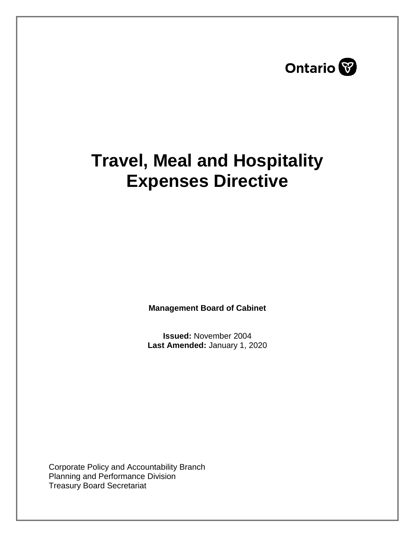

# **Travel, Meal and Hospitality Expenses Directive**

**Management Board of Cabinet** 

**Issued:** November 2004 **Last Amended:** January 1, 2020

Corporate Policy and Accountability Branch Planning and Performance Division Treasury Board Secretariat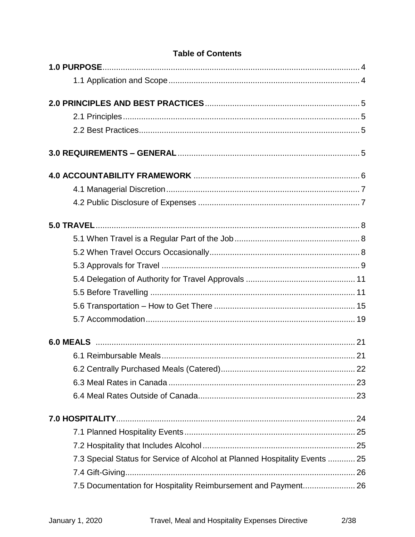| ו מטופ טו טטוונפוונס                                                        |  |
|-----------------------------------------------------------------------------|--|
|                                                                             |  |
|                                                                             |  |
|                                                                             |  |
|                                                                             |  |
|                                                                             |  |
|                                                                             |  |
|                                                                             |  |
|                                                                             |  |
|                                                                             |  |
|                                                                             |  |
|                                                                             |  |
|                                                                             |  |
|                                                                             |  |
|                                                                             |  |
|                                                                             |  |
|                                                                             |  |
|                                                                             |  |
|                                                                             |  |
|                                                                             |  |
|                                                                             |  |
|                                                                             |  |
|                                                                             |  |
|                                                                             |  |
|                                                                             |  |
|                                                                             |  |
| 7.3 Special Status for Service of Alcohol at Planned Hospitality Events  25 |  |
|                                                                             |  |
| 7.5 Documentation for Hospitality Reimbursement and Payment 26              |  |

## **Table of Contents**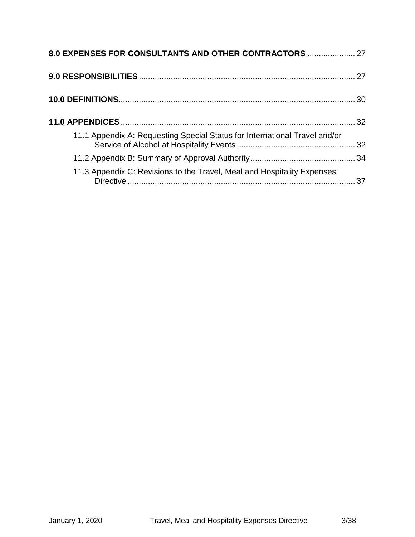| 8.0 EXPENSES FOR CONSULTANTS AND OTHER CONTRACTORS  27                     |    |
|----------------------------------------------------------------------------|----|
|                                                                            |    |
|                                                                            |    |
|                                                                            |    |
| 11.1 Appendix A: Requesting Special Status for International Travel and/or |    |
|                                                                            |    |
| 11.3 Appendix C: Revisions to the Travel, Meal and Hospitality Expenses    | 37 |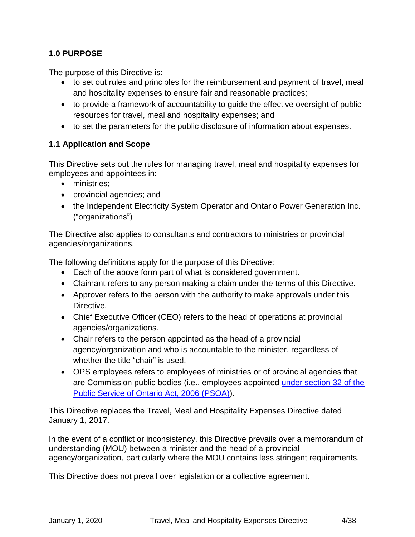#### <span id="page-3-0"></span>**1.0 PURPOSE**

The purpose of this Directive is:

- to set out rules and principles for the reimbursement and payment of travel, meal and hospitality expenses to ensure fair and reasonable practices;
- to provide a framework of accountability to guide the effective oversight of public resources for travel, meal and hospitality expenses; and
- to set the parameters for the public disclosure of information about expenses.

#### <span id="page-3-1"></span>**1.1 Application and Scope**

This Directive sets out the rules for managing travel, meal and hospitality expenses for employees and appointees in:

- ministries:
- provincial agencies; and
- the Independent Electricity System Operator and Ontario Power Generation Inc. ("organizations")

The Directive also applies to consultants and contractors to ministries or provincial agencies/organizations.

The following definitions apply for the purpose of this Directive:

- Each of the above form part of what is considered government.
- Claimant refers to any person making a claim under the terms of this Directive.
- Approver refers to the person with the authority to make approvals under this Directive.
- Chief Executive Officer (CEO) refers to the head of operations at provincial agencies/organizations.
- Chair refers to the person appointed as the head of a provincial agency/organization and who is accountable to the minister, regardless of whether the title "chair" is used.
- OPS employees refers to employees of ministries or of provincial agencies that are Commission public bodies (i.e., employees appointed [under section 32](https://www.ontario.ca/laws/statute/06p35) of the [Public Service of Ontario Act, 2006](https://www.ontario.ca/laws/statute/06p35) (PSOA)).

This Directive replaces the Travel, Meal and Hospitality Expenses Directive dated January 1, 2017.

In the event of a conflict or inconsistency, this Directive prevails over a memorandum of understanding (MOU) between a minister and the head of a provincial agency/organization, particularly where the MOU contains less stringent requirements.

This Directive does not prevail over legislation or a collective agreement.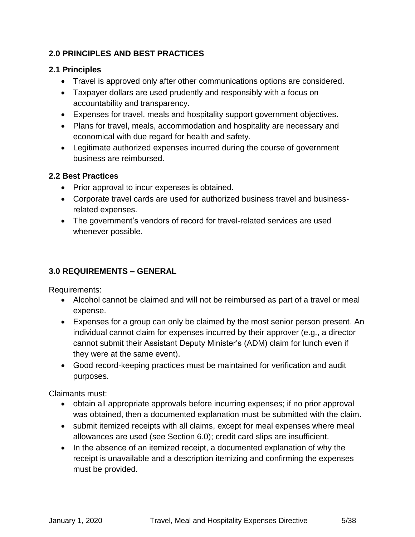## <span id="page-4-0"></span>**2.0 PRINCIPLES AND BEST PRACTICES**

#### <span id="page-4-1"></span>**2.1 Principles**

- Travel is approved only after other communications options are considered.
- Taxpayer dollars are used prudently and responsibly with a focus on accountability and transparency.
- Expenses for travel, meals and hospitality support government objectives.
- Plans for travel, meals, accommodation and hospitality are necessary and economical with due regard for health and safety.
- Legitimate authorized expenses incurred during the course of government business are reimbursed.

## <span id="page-4-2"></span>**2.2 Best Practices**

- Prior approval to incur expenses is obtained.
- Corporate travel cards are used for authorized business travel and businessrelated expenses.
- The government's vendors of record for travel-related services are used whenever possible.

# <span id="page-4-3"></span>**3.0 REQUIREMENTS – GENERAL**

Requirements:

- Alcohol cannot be claimed and will not be reimbursed as part of a travel or meal expense.
- Expenses for a group can only be claimed by the most senior person present. An individual cannot claim for expenses incurred by their approver (e.g., a director cannot submit their Assistant Deputy Minister's (ADM) claim for lunch even if they were at the same event).
- Good record-keeping practices must be maintained for verification and audit purposes.

Claimants must:

- obtain all appropriate approvals before incurring expenses; if no prior approval was obtained, then a documented explanation must be submitted with the claim.
- submit itemized receipts with all claims, except for meal expenses where meal allowances are used (see Section 6.0); credit card slips are insufficient.
- In the absence of an itemized receipt, a documented explanation of why the receipt is unavailable and a description itemizing and confirming the expenses must be provided.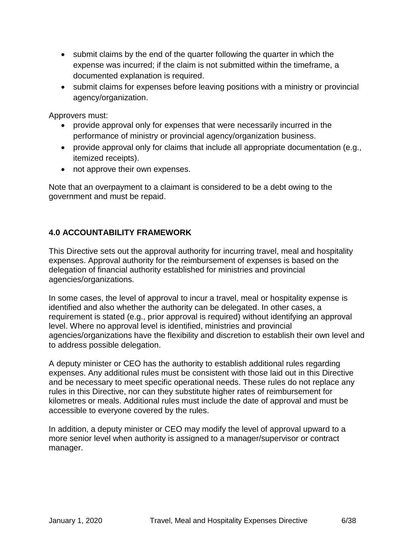- submit claims by the end of the quarter following the quarter in which the expense was incurred; if the claim is not submitted within the timeframe, a documented explanation is required.
- submit claims for expenses before leaving positions with a ministry or provincial agency/organization.

Approvers must:

- provide approval only for expenses that were necessarily incurred in the performance of ministry or provincial agency/organization business.
- provide approval only for claims that include all appropriate documentation (e.g., itemized receipts).
- not approve their own expenses.

Note that an overpayment to a claimant is considered to be a debt owing to the government and must be repaid.

#### <span id="page-5-0"></span>**4.0 ACCOUNTABILITY FRAMEWORK**

This Directive sets out the approval authority for incurring travel, meal and hospitality expenses. Approval authority for the reimbursement of expenses is based on the delegation of financial authority established for ministries and provincial agencies/organizations.

In some cases, the level of approval to incur a travel, meal or hospitality expense is identified and also whether the authority can be delegated. In other cases, a requirement is stated (e.g., prior approval is required) without identifying an approval level. Where no approval level is identified, ministries and provincial agencies/organizations have the flexibility and discretion to establish their own level and to address possible delegation.

A deputy minister or CEO has the authority to establish additional rules regarding expenses. Any additional rules must be consistent with those laid out in this Directive and be necessary to meet specific operational needs. These rules do not replace any rules in this Directive, nor can they substitute higher rates of reimbursement for kilometres or meals. Additional rules must include the date of approval and must be accessible to everyone covered by the rules.

<span id="page-5-1"></span>In addition, a deputy minister or CEO may modify the level of approval upward to a more senior level when authority is assigned to a manager/supervisor or contract manager.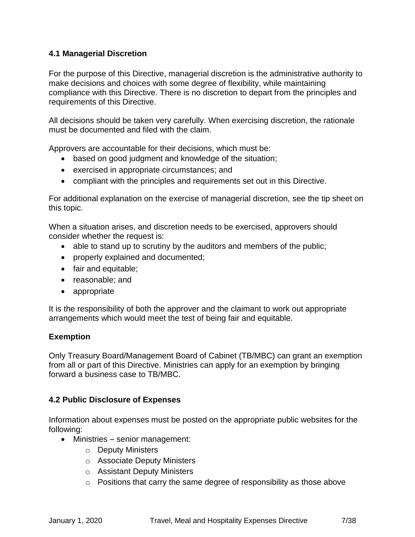#### **4.1 Managerial Discretion**

For the purpose of this Directive, managerial discretion is the administrative authority to make decisions and choices with some degree of flexibility, while maintaining compliance with this Directive. There is no discretion to depart from the principles and requirements of this Directive.

All decisions should be taken very carefully. When exercising discretion, the rationale must be documented and filed with the claim.

Approvers are accountable for their decisions, which must be:

- based on good judgment and knowledge of the situation;
- exercised in appropriate circumstances; and
- compliant with the principles and requirements set out in this Directive.

For additional explanation on the exercise of managerial discretion, see the tip sheet on this topic.

When a situation arises, and discretion needs to be exercised, approvers should consider whether the request is:

- able to stand up to scrutiny by the auditors and members of the public;
- properly explained and documented;
- fair and equitable;
- reasonable; and
- appropriate

It is the responsibility of both the approver and the claimant to work out appropriate arrangements which would meet the test of being fair and equitable.

#### **Exemption**

Only Treasury Board/Management Board of Cabinet (TB/MBC) can grant an exemption from all or part of this Directive. Ministries can apply for an exemption by bringing forward a business case to TB/MBC.

#### <span id="page-6-0"></span>**4.2 Public Disclosure of Expenses**

Information about expenses must be posted on the appropriate public websites for the following:

- Ministries senior management:
	- o Deputy Ministers
	- o Associate Deputy Ministers
	- o Assistant Deputy Ministers
	- o Positions that carry the same degree of responsibility as those above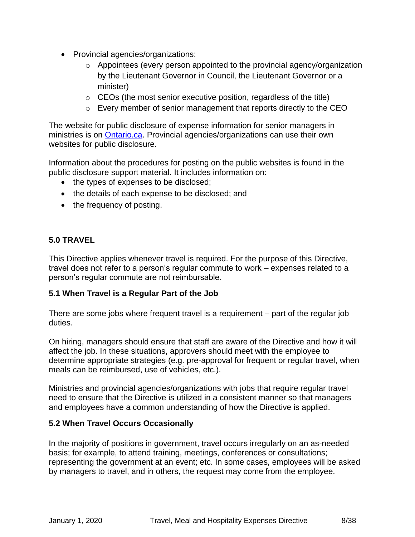- Provincial agencies/organizations:
	- o Appointees (every person appointed to the provincial agency/organization by the Lieutenant Governor in Council, the Lieutenant Governor or a minister)
	- $\circ$  CEOs (the most senior executive position, regardless of the title)
	- o Every member of senior management that reports directly to the CEO

The website for public disclosure of expense information for senior managers in ministries is on [Ontario.ca.](https://www.ontario.ca/government/travel-meal-and-hospitality-expenses) Provincial agencies/organizations can use their own websites for public disclosure.

Information about the procedures for posting on the public websites is found in the public disclosure support material. It includes information on:

- the types of expenses to be disclosed;
- the details of each expense to be disclosed; and
- the frequency of posting.

#### <span id="page-7-0"></span>**5.0 TRAVEL**

This Directive applies whenever travel is required. For the purpose of this Directive, travel does not refer to a person's regular commute to work – expenses related to a person's regular commute are not reimbursable.

#### <span id="page-7-1"></span>**5.1 When Travel is a Regular Part of the Job**

There are some jobs where frequent travel is a requirement – part of the regular job duties.

On hiring, managers should ensure that staff are aware of the Directive and how it will affect the job. In these situations, approvers should meet with the employee to determine appropriate strategies (e.g. pre-approval for frequent or regular travel, when meals can be reimbursed, use of vehicles, etc.).

Ministries and provincial agencies/organizations with jobs that require regular travel need to ensure that the Directive is utilized in a consistent manner so that managers and employees have a common understanding of how the Directive is applied.

## <span id="page-7-2"></span>**5.2 When Travel Occurs Occasionally**

In the majority of positions in government, travel occurs irregularly on an as-needed basis; for example, to attend training, meetings, conferences or consultations; representing the government at an event; etc. In some cases, employees will be asked by managers to travel, and in others, the request may come from the employee.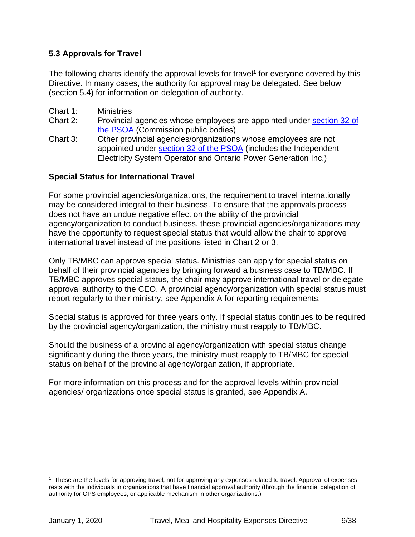#### <span id="page-8-0"></span>**5.3 Approvals for Travel**

The following charts identify the approval levels for travel<sup>1</sup> for everyone covered by this Directive. In many cases, the authority for approval may be delegated. See below (section 5.4) for information on delegation of authority.

- Chart 1: Ministries
- Chart 2: Provincial agencies whose employees are appointed under [section 32 of](https://www.ontario.ca/laws/statute/06p35)  [the PSOA](https://www.ontario.ca/laws/statute/06p35) (Commission public bodies)
- Chart 3: Other provincial agencies/organizations whose employees are not appointed under [section 32 of the PSOA](https://www.ontario.ca/laws/statute/06p35) (includes the Independent Electricity System Operator and Ontario Power Generation Inc.)

#### **Special Status for International Travel**

For some provincial agencies/organizations, the requirement to travel internationally may be considered integral to their business. To ensure that the approvals process does not have an undue negative effect on the ability of the provincial agency/organization to conduct business, these provincial agencies/organizations may have the opportunity to request special status that would allow the chair to approve international travel instead of the positions listed in Chart 2 or 3.

Only TB/MBC can approve special status. Ministries can apply for special status on behalf of their provincial agencies by bringing forward a business case to TB/MBC. If TB/MBC approves special status, the chair may approve international travel or delegate approval authority to the CEO. A provincial agency/organization with special status must report regularly to their ministry, see Appendix A for reporting requirements.

Special status is approved for three years only. If special status continues to be required by the provincial agency/organization, the ministry must reapply to TB/MBC.

Should the business of a provincial agency/organization with special status change significantly during the three years, the ministry must reapply to TB/MBC for special status on behalf of the provincial agency/organization, if appropriate.

For more information on this process and for the approval levels within provincial agencies/ organizations once special status is granted, see Appendix A.

 $\overline{a}$ 

<sup>1</sup> These are the levels for approving travel, not for approving any expenses related to travel. Approval of expenses rests with the individuals in organizations that have financial approval authority (through the financial delegation of authority for OPS employees, or applicable mechanism in other organizations.)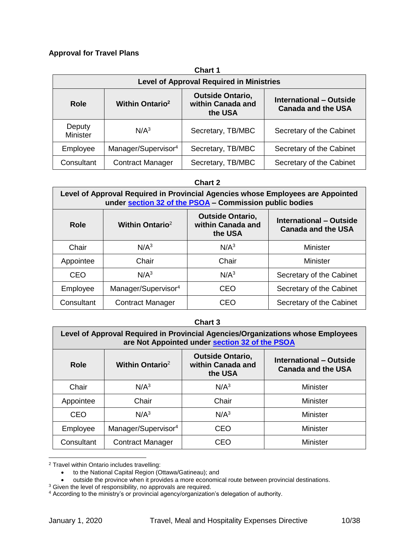#### **Approval for Travel Plans**

| <b>Chart 1</b>                                                                                                                                                             |                                                 |                   |                          |  |
|----------------------------------------------------------------------------------------------------------------------------------------------------------------------------|-------------------------------------------------|-------------------|--------------------------|--|
|                                                                                                                                                                            | <b>Level of Approval Required in Ministries</b> |                   |                          |  |
| <b>Outside Ontario,</b><br><b>International - Outside</b><br><b>Within Ontario<sup>2</sup></b><br>within Canada and<br><b>Role</b><br><b>Canada and the USA</b><br>the USA |                                                 |                   |                          |  |
| Deputy<br><b>Minister</b>                                                                                                                                                  | N/A <sup>3</sup>                                | Secretary, TB/MBC | Secretary of the Cabinet |  |
| Employee                                                                                                                                                                   | Manager/Supervisor <sup>4</sup>                 | Secretary, TB/MBC | Secretary of the Cabinet |  |
| Consultant                                                                                                                                                                 | <b>Contract Manager</b>                         | Secretary, TB/MBC | Secretary of the Cabinet |  |

#### **Chart 2**

| Level of Approval Required in Provincial Agencies whose Employees are Appointed<br>under section 32 of the PSOA - Commission public bodies |                                 |                  |                                                      |  |
|--------------------------------------------------------------------------------------------------------------------------------------------|---------------------------------|------------------|------------------------------------------------------|--|
| <b>Outside Ontario,</b><br>Within Ontario <sup>2</sup><br>within Canada and<br><b>Role</b><br>the USA                                      |                                 |                  | International - Outside<br><b>Canada and the USA</b> |  |
| Chair                                                                                                                                      | N/A <sup>3</sup>                | N/A <sup>3</sup> | <b>Minister</b>                                      |  |
| Appointee                                                                                                                                  | Chair                           | Chair            | <b>Minister</b>                                      |  |
| <b>CEO</b>                                                                                                                                 | N/A <sup>3</sup>                | N/A <sup>3</sup> | Secretary of the Cabinet                             |  |
| Employee                                                                                                                                   | Manager/Supervisor <sup>4</sup> | CEO              | Secretary of the Cabinet                             |  |
| Consultant                                                                                                                                 | <b>Contract Manager</b>         | CEO              | Secretary of the Cabinet                             |  |

#### **Chart 3**

| Level of Approval Required in Provincial Agencies/Organizations whose Employees<br>are Not Appointed under section 32 of the PSOA |                                 |                                                         |                                                      |
|-----------------------------------------------------------------------------------------------------------------------------------|---------------------------------|---------------------------------------------------------|------------------------------------------------------|
| Role                                                                                                                              | Within Ontario <sup>2</sup>     | <b>Outside Ontario,</b><br>within Canada and<br>the USA | International - Outside<br><b>Canada and the USA</b> |
| Chair                                                                                                                             | N/A <sup>3</sup>                | N/A <sup>3</sup>                                        | Minister                                             |
| Appointee                                                                                                                         | Chair                           | Chair                                                   | Minister                                             |
| CEO                                                                                                                               | N/A <sup>3</sup>                | N/A <sup>3</sup>                                        | <b>Minister</b>                                      |
| Employee                                                                                                                          | Manager/Supervisor <sup>4</sup> | CEO                                                     | <b>Minister</b>                                      |
| Consultant                                                                                                                        | <b>Contract Manager</b>         | CEO                                                     | <b>Minister</b>                                      |

<sup>2</sup> Travel within Ontario includes travelling:

• outside the province when it provides a more economical route between provincial destinations.

 $\overline{a}$ 

<sup>•</sup> to the National Capital Region (Ottawa/Gatineau); and

 $3$  Given the level of responsibility, no approvals are required.

<sup>&</sup>lt;sup>4</sup> According to the ministry's or provincial agency/organization's delegation of authority.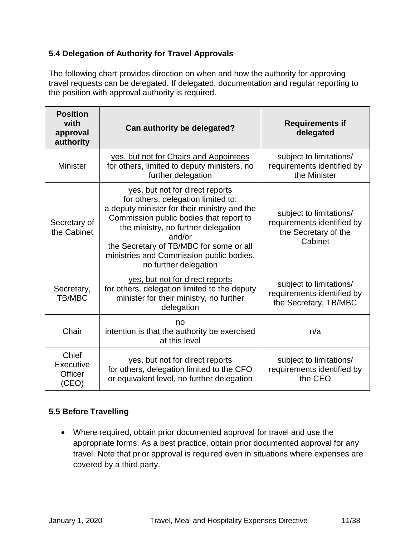#### <span id="page-10-0"></span>**5.4 Delegation of Authority for Travel Approvals**

The following chart provides direction on when and how the authority for approving travel requests can be delegated. If delegated, documentation and regular reporting to the position with approval authority is required.

| <b>Position</b><br>with<br>approval<br>authority     | Can authority be delegated?                                                                                                                                                                                                                                                                                                       | <b>Requirements if</b><br>delegated                                                      |
|------------------------------------------------------|-----------------------------------------------------------------------------------------------------------------------------------------------------------------------------------------------------------------------------------------------------------------------------------------------------------------------------------|------------------------------------------------------------------------------------------|
| <b>Minister</b>                                      | yes, but not for Chairs and Appointees<br>for others, limited to deputy ministers, no<br>further delegation                                                                                                                                                                                                                       | subject to limitations/<br>requirements identified by<br>the Minister                    |
| Secretary of<br>the Cabinet                          | yes, but not for direct reports<br>for others, delegation limited to:<br>a deputy minister for their ministry and the<br>Commission public bodies that report to<br>the ministry, no further delegation<br>and/or<br>the Secretary of TB/MBC for some or all<br>ministries and Commission public bodies,<br>no further delegation | subject to limitations/<br>requirements identified by<br>the Secretary of the<br>Cabinet |
| Secretary,<br><b>TB/MBC</b>                          | yes, but not for direct reports<br>for others, delegation limited to the deputy<br>minister for their ministry, no further<br>delegation                                                                                                                                                                                          | subject to limitations/<br>requirements identified by<br>the Secretary, TB/MBC           |
| Chair                                                | no<br>intention is that the authority be exercised<br>at this level                                                                                                                                                                                                                                                               | n/a                                                                                      |
| Chief<br><b>Executive</b><br><b>Officer</b><br>(CEO) | yes, but not for direct reports<br>for others, delegation limited to the CFO<br>or equivalent level, no further delegation                                                                                                                                                                                                        | subject to limitations/<br>requirements identified by<br>the CEO                         |

#### <span id="page-10-1"></span>**5.5 Before Travelling**

• Where required, obtain prior documented approval for travel and use the appropriate forms. As a best practice, obtain prior documented approval for any travel. Note that prior approval is required even in situations where expenses are covered by a third party.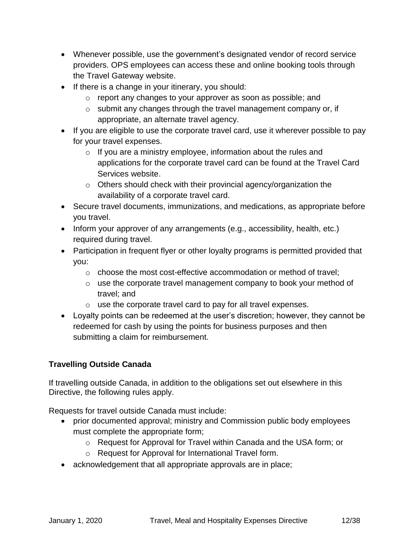- Whenever possible, use the government's designated vendor of record service providers. OPS employees can access these and online booking tools through the Travel Gateway website.
- If there is a change in your itinerary, you should:
	- o report any changes to your approver as soon as possible; and
	- o submit any changes through the travel management company or, if appropriate, an alternate travel agency.
- If you are eligible to use the corporate travel card, use it wherever possible to pay for your travel expenses.
	- $\circ$  If you are a ministry employee, information about the rules and applications for the corporate travel card can be found at the Travel Card Services website.
	- o Others should check with their provincial agency/organization the availability of a corporate travel card.
- Secure travel documents, immunizations, and medications, as appropriate before you travel.
- Inform your approver of any arrangements (e.g., accessibility, health, etc.) required during travel.
- Participation in frequent flyer or other loyalty programs is permitted provided that you:
	- o choose the most cost-effective accommodation or method of travel;
	- o use the corporate travel management company to book your method of travel; and
	- o use the corporate travel card to pay for all travel expenses.
- Loyalty points can be redeemed at the user's discretion; however, they cannot be redeemed for cash by using the points for business purposes and then submitting a claim for reimbursement.

#### **Travelling Outside Canada**

If travelling outside Canada, in addition to the obligations set out elsewhere in this Directive, the following rules apply.

Requests for travel outside Canada must include:

- prior documented approval; ministry and Commission public body employees must complete the appropriate form;
	- o Request for Approval for Travel within Canada and the USA form; or
	- o Request for Approval for International Travel form.
- acknowledgement that all appropriate approvals are in place;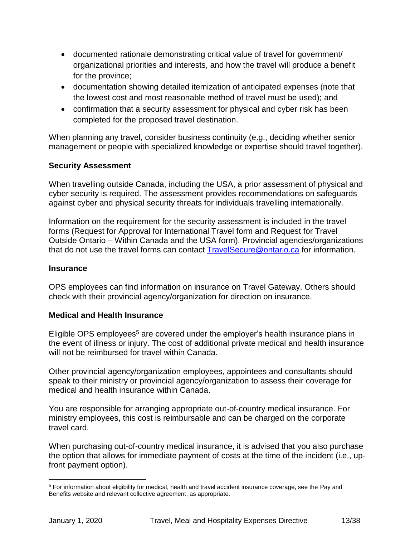- documented rationale demonstrating critical value of travel for government/ organizational priorities and interests, and how the travel will produce a benefit for the province;
- documentation showing detailed itemization of anticipated expenses (note that the lowest cost and most reasonable method of travel must be used); and
- confirmation that a security assessment for physical and cyber risk has been completed for the proposed travel destination.

When planning any travel, consider business continuity (e.g., deciding whether senior management or people with specialized knowledge or expertise should travel together).

#### **Security Assessment**

When travelling outside Canada, including the USA, a prior assessment of physical and cyber security is required. The assessment provides recommendations on safeguards against cyber and physical security threats for individuals travelling internationally.

Information on the requirement for the security assessment is included in the travel forms (Request for Approval for International Travel form and Request for Travel Outside Ontario – Within Canada and the USA form). Provincial agencies/organizations that do not use the travel forms can contact [TravelSecure@ontario.ca](mailto:TravelSecure@ontario.ca) for information.

#### **Insurance**

OPS employees can find information on insurance on Travel Gateway. Others should check with their provincial agency/organization for direction on insurance.

#### **Medical and Health Insurance**

Eligible OPS employees<sup>5</sup> are covered under the employer's health insurance plans in the event of illness or injury. The cost of additional private medical and health insurance will not be reimbursed for travel within Canada.

Other provincial agency/organization employees, appointees and consultants should speak to their ministry or provincial agency/organization to assess their coverage for medical and health insurance within Canada.

You are responsible for arranging appropriate out-of-country medical insurance. For ministry employees, this cost is reimbursable and can be charged on the corporate travel card.

When purchasing out-of-country medical insurance, it is advised that you also purchase the option that allows for immediate payment of costs at the time of the incident (i.e., upfront payment option).

 $\overline{a}$ <sup>5</sup> For information about eligibility for medical, health and travel accident insurance coverage, see the Pay and Benefits website and relevant collective agreement, as appropriate.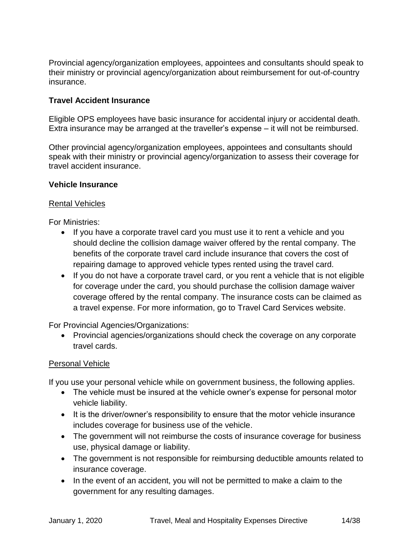Provincial agency/organization employees, appointees and consultants should speak to their ministry or provincial agency/organization about reimbursement for out-of-country insurance.

#### **Travel Accident Insurance**

Eligible OPS employees have basic insurance for accidental injury or accidental death. Extra insurance may be arranged at the traveller's expense – it will not be reimbursed.

Other provincial agency/organization employees, appointees and consultants should speak with their ministry or provincial agency/organization to assess their coverage for travel accident insurance.

#### **Vehicle Insurance**

#### Rental Vehicles

For Ministries:

- If you have a corporate travel card you must use it to rent a vehicle and you should decline the collision damage waiver offered by the rental company. The benefits of the corporate travel card include insurance that covers the cost of repairing damage to approved vehicle types rented using the travel card.
- If you do not have a corporate travel card, or you rent a vehicle that is not eligible for coverage under the card, you should purchase the collision damage waiver coverage offered by the rental company. The insurance costs can be claimed as a travel expense. For more information, go to Travel Card Services website.

For Provincial Agencies/Organizations:

• Provincial agencies/organizations should check the coverage on any corporate travel cards.

#### Personal Vehicle

If you use your personal vehicle while on government business, the following applies.

- The vehicle must be insured at the vehicle owner's expense for personal motor vehicle liability.
- It is the driver/owner's responsibility to ensure that the motor vehicle insurance includes coverage for business use of the vehicle.
- The government will not reimburse the costs of insurance coverage for business use, physical damage or liability.
- The government is not responsible for reimbursing deductible amounts related to insurance coverage.
- In the event of an accident, you will not be permitted to make a claim to the government for any resulting damages.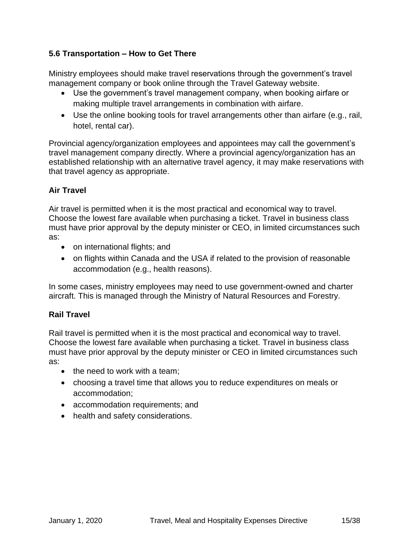#### <span id="page-14-0"></span>**5.6 Transportation – How to Get There**

Ministry employees should make travel reservations through the government's travel management company or book online through the Travel Gateway website.

- Use the government's travel management company, when booking airfare or making multiple travel arrangements in combination with airfare.
- Use the online booking tools for travel arrangements other than airfare (e.g., rail, hotel, rental car).

Provincial agency/organization employees and appointees may call the government's travel management company directly. Where a provincial agency/organization has an established relationship with an alternative travel agency, it may make reservations with that travel agency as appropriate.

#### **Air Travel**

Air travel is permitted when it is the most practical and economical way to travel. Choose the lowest fare available when purchasing a ticket. Travel in business class must have prior approval by the deputy minister or CEO, in limited circumstances such as:

- on international flights; and
- on flights within Canada and the USA if related to the provision of reasonable accommodation (e.g., health reasons).

In some cases, ministry employees may need to use government-owned and charter aircraft. This is managed through the Ministry of Natural Resources and Forestry.

#### **Rail Travel**

Rail travel is permitted when it is the most practical and economical way to travel. Choose the lowest fare available when purchasing a ticket. Travel in business class must have prior approval by the deputy minister or CEO in limited circumstances such as:

- the need to work with a team;
- choosing a travel time that allows you to reduce expenditures on meals or accommodation;
- accommodation requirements; and
- health and safety considerations.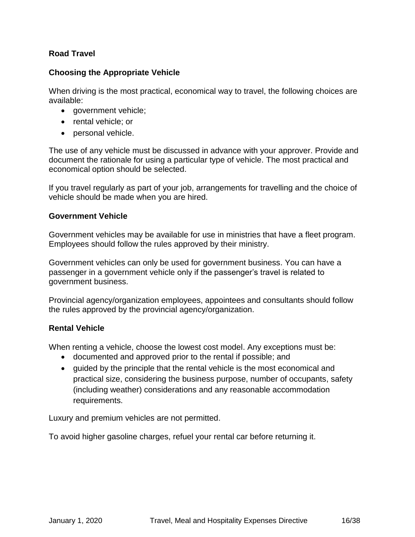#### **Road Travel**

#### **Choosing the Appropriate Vehicle**

When driving is the most practical, economical way to travel, the following choices are available:

- government vehicle;
- rental vehicle; or
- personal vehicle.

The use of any vehicle must be discussed in advance with your approver. Provide and document the rationale for using a particular type of vehicle. The most practical and economical option should be selected.

If you travel regularly as part of your job, arrangements for travelling and the choice of vehicle should be made when you are hired.

#### **Government Vehicle**

Government vehicles may be available for use in ministries that have a fleet program. Employees should follow the rules approved by their ministry.

Government vehicles can only be used for government business. You can have a passenger in a government vehicle only if the passenger's travel is related to government business.

Provincial agency/organization employees, appointees and consultants should follow the rules approved by the provincial agency/organization.

#### **Rental Vehicle**

When renting a vehicle, choose the lowest cost model. Any exceptions must be:

- documented and approved prior to the rental if possible; and
- guided by the principle that the rental vehicle is the most economical and practical size, considering the business purpose, number of occupants, safety (including weather) considerations and any reasonable accommodation requirements.

Luxury and premium vehicles are not permitted.

To avoid higher gasoline charges, refuel your rental car before returning it.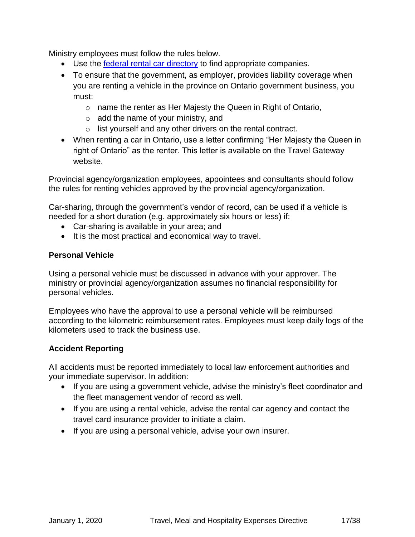Ministry employees must follow the rules below.

- Use the [federal rental car directory](https://rehelv-acrd.tpsgc-pwgsc.gc.ca/index-eng.aspx) to find appropriate companies.
- To ensure that the government, as employer, provides liability coverage when you are renting a vehicle in the province on Ontario government business, you must:
	- o name the renter as Her Majesty the Queen in Right of Ontario,
	- $\circ$  add the name of your ministry, and
	- o list yourself and any other drivers on the rental contract.
- When renting a car in Ontario, use a letter confirming "Her Majesty the Queen in right of Ontario" as the renter. This letter is available on the Travel Gateway website.

Provincial agency/organization employees, appointees and consultants should follow the rules for renting vehicles approved by the provincial agency/organization.

Car-sharing, through the government's vendor of record, can be used if a vehicle is needed for a short duration (e.g. approximately six hours or less) if:

- Car-sharing is available in your area; and
- It is the most practical and economical way to travel.

#### **Personal Vehicle**

Using a personal vehicle must be discussed in advance with your approver. The ministry or provincial agency/organization assumes no financial responsibility for personal vehicles.

Employees who have the approval to use a personal vehicle will be reimbursed according to the kilometric reimbursement rates. Employees must keep daily logs of the kilometers used to track the business use.

#### **Accident Reporting**

All accidents must be reported immediately to local law enforcement authorities and your immediate supervisor. In addition:

- If you are using a government vehicle, advise the ministry's fleet coordinator and the fleet management vendor of record as well.
- If you are using a rental vehicle, advise the rental car agency and contact the travel card insurance provider to initiate a claim.
- If you are using a personal vehicle, advise your own insurer.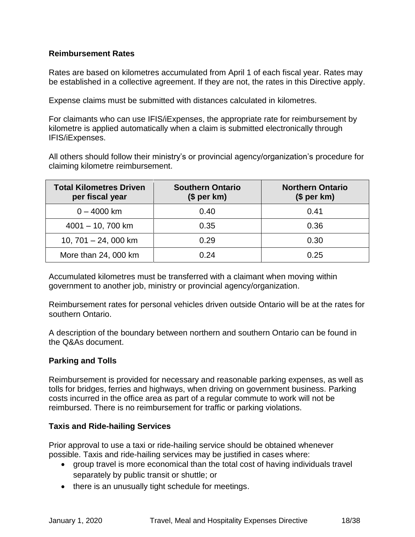#### **Reimbursement Rates**

Rates are based on kilometres accumulated from April 1 of each fiscal year. Rates may be established in a collective agreement. If they are not, the rates in this Directive apply.

Expense claims must be submitted with distances calculated in kilometres.

For claimants who can use IFIS/iExpenses, the appropriate rate for reimbursement by kilometre is applied automatically when a claim is submitted electronically through IFIS/iExpenses.

All others should follow their ministry's or provincial agency/organization's procedure for claiming kilometre reimbursement.

| <b>Total Kilometres Driven</b><br>per fiscal year | <b>Southern Ontario</b><br>(\$ per km) | <b>Northern Ontario</b><br>$$$ per km) |
|---------------------------------------------------|----------------------------------------|----------------------------------------|
| $0 - 4000$ km                                     | 0.40                                   | 0.41                                   |
| $4001 - 10$ , 700 km                              | 0.35                                   | 0.36                                   |
| 10, $701 - 24$ , 000 km                           | 0.29                                   | 0.30                                   |
| More than 24, 000 km                              | በ 24                                   | 0.25                                   |

Accumulated kilometres must be transferred with a claimant when moving within government to another job, ministry or provincial agency/organization.

Reimbursement rates for personal vehicles driven outside Ontario will be at the rates for southern Ontario.

A description of the boundary between northern and southern Ontario can be found in the Q&As document.

#### **Parking and Tolls**

Reimbursement is provided for necessary and reasonable parking expenses, as well as tolls for bridges, ferries and highways, when driving on government business. Parking costs incurred in the office area as part of a regular commute to work will not be reimbursed. There is no reimbursement for traffic or parking violations.

#### **Taxis and Ride-hailing Services**

Prior approval to use a taxi or ride-hailing service should be obtained whenever possible. Taxis and ride-hailing services may be justified in cases where:

- group travel is more economical than the total cost of having individuals travel separately by public transit or shuttle; or
- there is an unusually tight schedule for meetings.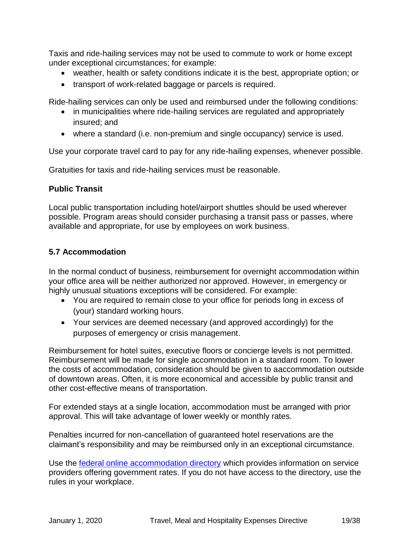Taxis and ride-hailing services may not be used to commute to work or home except under exceptional circumstances; for example:

- weather, health or safety conditions indicate it is the best, appropriate option; or
- transport of work-related baggage or parcels is required.

Ride-hailing services can only be used and reimbursed under the following conditions:

- in municipalities where ride-hailing services are regulated and appropriately insured; and
- where a standard (i.e. non-premium and single occupancy) service is used.

Use your corporate travel card to pay for any ride-hailing expenses, whenever possible.

Gratuities for taxis and ride-hailing services must be reasonable.

#### **Public Transit**

Local public transportation including hotel/airport shuttles should be used wherever possible. Program areas should consider purchasing a transit pass or passes, where available and appropriate, for use by employees on work business.

#### <span id="page-18-0"></span>**5.7 Accommodation**

In the normal conduct of business, reimbursement for overnight accommodation within your office area will be neither authorized nor approved. However, in emergency or highly unusual situations exceptions will be considered. For example:

- You are required to remain close to your office for periods long in excess of (your) standard working hours.
- Your services are deemed necessary (and approved accordingly) for the purposes of emergency or crisis management.

Reimbursement for hotel suites, executive floors or concierge levels is not permitted. Reimbursement will be made for single accommodation in a standard room. To lower the costs of accommodation, consideration should be given to aaccommodation outside of downtown areas. Often, it is more economical and accessible by public transit and other cost-effective means of transportation.

For extended stays at a single location, accommodation must be arranged with prior approval. This will take advantage of lower weekly or monthly rates.

Penalties incurred for non-cancellation of guaranteed hotel reservations are the claimant's responsibility and may be reimbursed only in an exceptional circumstance.

Use the [federal online accommodation directory](https://rehelv-acrd.tpsgc-pwgsc.gc.ca/index-eng.aspx) which provides information on service providers offering government rates. If you do not have access to the directory, use the rules in your workplace.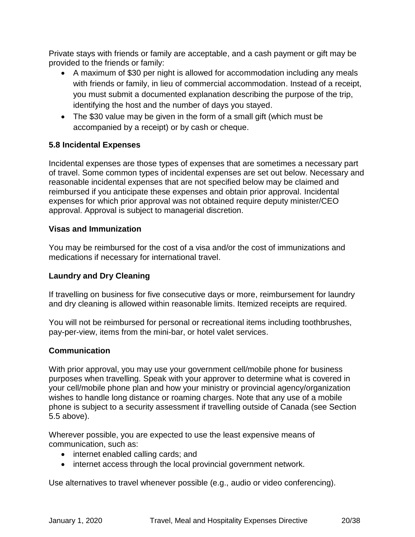Private stays with friends or family are acceptable, and a cash payment or gift may be provided to the friends or family:

- A maximum of \$30 per night is allowed for accommodation including any meals with friends or family, in lieu of commercial accommodation. Instead of a receipt, you must submit a documented explanation describing the purpose of the trip, identifying the host and the number of days you stayed.
- The \$30 value may be given in the form of a small gift (which must be accompanied by a receipt) or by cash or cheque.

#### **5.8 Incidental Expenses**

Incidental expenses are those types of expenses that are sometimes a necessary part of travel. Some common types of incidental expenses are set out below. Necessary and reasonable incidental expenses that are not specified below may be claimed and reimbursed if you anticipate these expenses and obtain prior approval. Incidental expenses for which prior approval was not obtained require deputy minister/CEO approval. Approval is subject to managerial discretion.

#### **Visas and Immunization**

You may be reimbursed for the cost of a visa and/or the cost of immunizations and medications if necessary for international travel.

#### **Laundry and Dry Cleaning**

If travelling on business for five consecutive days or more, reimbursement for laundry and dry cleaning is allowed within reasonable limits. Itemized receipts are required.

You will not be reimbursed for personal or recreational items including toothbrushes, pay-per-view, items from the mini-bar, or hotel valet services.

#### **Communication**

With prior approval, you may use your government cell/mobile phone for business purposes when travelling. Speak with your approver to determine what is covered in your cell/mobile phone plan and how your ministry or provincial agency/organization wishes to handle long distance or roaming charges. Note that any use of a mobile phone is subject to a security assessment if travelling outside of Canada (see Section 5.5 above).

Wherever possible, you are expected to use the least expensive means of communication, such as:

- internet enabled calling cards; and
- internet access through the local provincial government network.

Use alternatives to travel whenever possible (e.g., audio or video conferencing).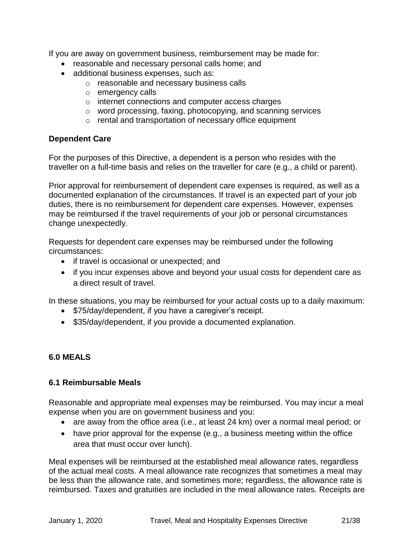If you are away on government business, reimbursement may be made for:

- reasonable and necessary personal calls home; and
- additional business expenses, such as:
	- o reasonable and necessary business calls
	- o emergency calls
	- o internet connections and computer access charges
	- o word processing, faxing, photocopying, and scanning services
	- o rental and transportation of necessary office equipment

#### **Dependent Care**

For the purposes of this Directive, a dependent is a person who resides with the traveller on a full-time basis and relies on the traveller for care (e.g., a child or parent).

Prior approval for reimbursement of dependent care expenses is required, as well as a documented explanation of the circumstances. If travel is an expected part of your job duties, there is no reimbursement for dependent care expenses. However, expenses may be reimbursed if the travel requirements of your job or personal circumstances change unexpectedly.

Requests for dependent care expenses may be reimbursed under the following circumstances:

- if travel is occasional or unexpected; and
- if you incur expenses above and beyond your usual costs for dependent care as a direct result of travel.

In these situations, you may be reimbursed for your actual costs up to a daily maximum:

- \$75/day/dependent, if you have a caregiver's receipt.
- \$35/day/dependent, if you provide a documented explanation.

#### <span id="page-20-0"></span>**6.0 MEALS**

#### <span id="page-20-1"></span>**6.1 Reimbursable Meals**

Reasonable and appropriate meal expenses may be reimbursed. You may incur a meal expense when you are on government business and you:

- are away from the office area (i.e., at least 24 km) over a normal meal period; or
- have prior approval for the expense (e.g., a business meeting within the office area that must occur over lunch).

Meal expenses will be reimbursed at the established meal allowance rates, regardless of the actual meal costs. A meal allowance rate recognizes that sometimes a meal may be less than the allowance rate, and sometimes more; regardless, the allowance rate is reimbursed. Taxes and gratuities are included in the meal allowance rates. Receipts are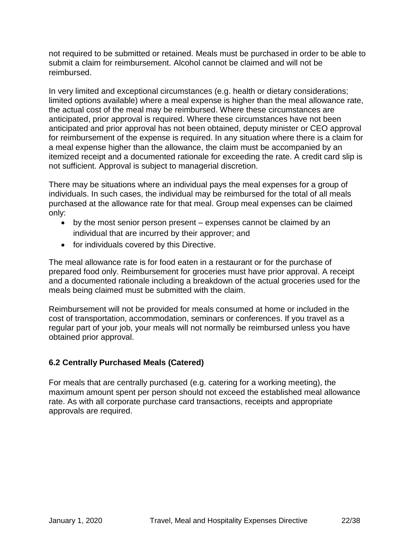not required to be submitted or retained. Meals must be purchased in order to be able to submit a claim for reimbursement. Alcohol cannot be claimed and will not be reimbursed.

In very limited and exceptional circumstances (e.g. health or dietary considerations; limited options available) where a meal expense is higher than the meal allowance rate, the actual cost of the meal may be reimbursed. Where these circumstances are anticipated, prior approval is required. Where these circumstances have not been anticipated and prior approval has not been obtained, deputy minister or CEO approval for reimbursement of the expense is required. In any situation where there is a claim for a meal expense higher than the allowance, the claim must be accompanied by an itemized receipt and a documented rationale for exceeding the rate. A credit card slip is not sufficient. Approval is subject to managerial discretion.

There may be situations where an individual pays the meal expenses for a group of individuals. In such cases, the individual may be reimbursed for the total of all meals purchased at the allowance rate for that meal. Group meal expenses can be claimed only:

- by the most senior person present expenses cannot be claimed by an individual that are incurred by their approver; and
- for individuals covered by this Directive.

The meal allowance rate is for food eaten in a restaurant or for the purchase of prepared food only. Reimbursement for groceries must have prior approval. A receipt and a documented rationale including a breakdown of the actual groceries used for the meals being claimed must be submitted with the claim.

Reimbursement will not be provided for meals consumed at home or included in the cost of transportation, accommodation, seminars or conferences. If you travel as a regular part of your job, your meals will not normally be reimbursed unless you have obtained prior approval.

## <span id="page-21-0"></span>**6.2 Centrally Purchased Meals (Catered)**

<span id="page-21-1"></span>For meals that are centrally purchased (e.g. catering for a working meeting), the maximum amount spent per person should not exceed the established meal allowance rate. As with all corporate purchase card transactions, receipts and appropriate approvals are required.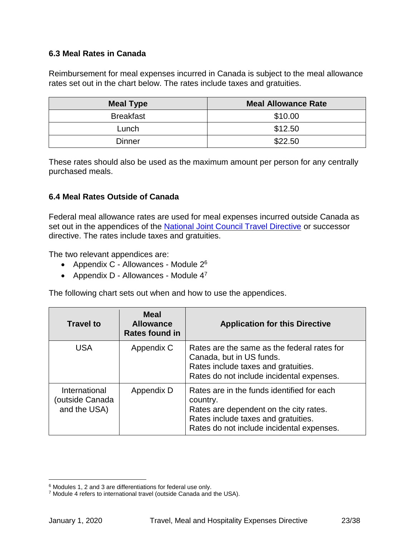#### **6.3 Meal Rates in Canada**

Reimbursement for meal expenses incurred in Canada is subject to the meal allowance rates set out in the chart below. The rates include taxes and gratuities.

| <b>Meal Type</b> | <b>Meal Allowance Rate</b> |
|------------------|----------------------------|
| <b>Breakfast</b> | \$10.00                    |
| Lunch            | \$12.50                    |
| <b>Dinner</b>    | \$22.50                    |

These rates should also be used as the maximum amount per person for any centrally purchased meals.

#### <span id="page-22-0"></span>**6.4 Meal Rates Outside of Canada**

Federal meal allowance rates are used for meal expenses incurred outside Canada as set out in the appendices of the [National Joint Council Travel Directive](https://www.njc-cnm.gc.ca/directive/d10/en) or successor directive. The rates include taxes and gratuities.

The two relevant appendices are:

- Appendix C Allowances Module 2<sup>6</sup>
- Appendix D Allowances Module  $4^7$

The following chart sets out when and how to use the appendices.

| <b>Travel to</b>                                 | <b>Meal</b><br><b>Allowance</b><br><b>Rates found in</b> | <b>Application for this Directive</b>                                                                                                                                                |
|--------------------------------------------------|----------------------------------------------------------|--------------------------------------------------------------------------------------------------------------------------------------------------------------------------------------|
| <b>USA</b>                                       | Appendix C                                               | Rates are the same as the federal rates for<br>Canada, but in US funds.<br>Rates include taxes and gratuities.<br>Rates do not include incidental expenses.                          |
| International<br>(outside Canada<br>and the USA) | Appendix D                                               | Rates are in the funds identified for each<br>country.<br>Rates are dependent on the city rates.<br>Rates include taxes and gratuities.<br>Rates do not include incidental expenses. |

 $\overline{a}$ 

<sup>6</sup> Modules 1, 2 and 3 are differentiations for federal use only.

<sup>7</sup> Module 4 refers to international travel (outside Canada and the USA).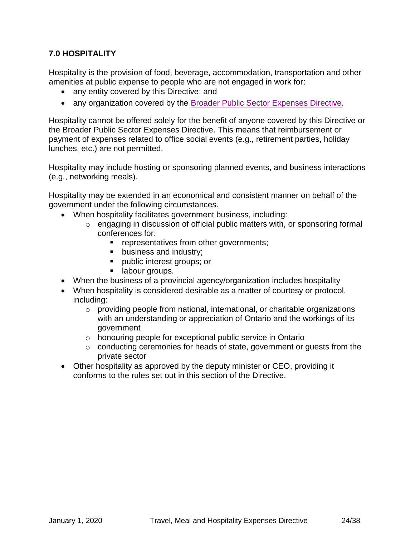#### **7.0 HOSPITALITY**

Hospitality is the provision of food, beverage, accommodation, transportation and other amenities at public expense to people who are not engaged in work for:

- any entity covered by this Directive; and
- any organization covered by the **Broader Public Sector Expenses Directive**.

Hospitality cannot be offered solely for the benefit of anyone covered by this Directive or the Broader Public Sector Expenses Directive. This means that reimbursement or payment of expenses related to office social events (e.g., retirement parties, holiday lunches, etc.) are not permitted.

Hospitality may include hosting or sponsoring planned events, and business interactions (e.g., networking meals).

Hospitality may be extended in an economical and consistent manner on behalf of the government under the following circumstances.

- When hospitality facilitates government business, including:
	- o engaging in discussion of official public matters with, or sponsoring formal conferences for:
		- representatives from other governments;
		- business and industry;
		- public interest groups; or
		- labour groups.
- When the business of a provincial agency/organization includes hospitality
- When hospitality is considered desirable as a matter of courtesy or protocol, including:
	- o providing people from national, international, or charitable organizations with an understanding or appreciation of Ontario and the workings of its government
	- o honouring people for exceptional public service in Ontario
	- o conducting ceremonies for heads of state, government or guests from the private sector
- Other hospitality as approved by the deputy minister or CEO, providing it conforms to the rules set out in this section of the Directive.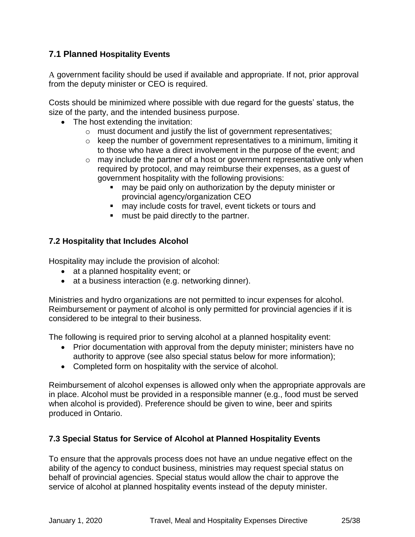## **7.1 Planned Hospitality Events**

A government facility should be used if available and appropriate. If not, prior approval from the deputy minister or CEO is required.

Costs should be minimized where possible with due regard for the guests' status, the size of the party, and the intended business purpose.

- The host extending the invitation:
	- o must document and justify the list of government representatives;
	- o keep the number of government representatives to a minimum, limiting it to those who have a direct involvement in the purpose of the event; and
	- $\circ$  may include the partner of a host or government representative only when required by protocol, and may reimburse their expenses, as a guest of government hospitality with the following provisions:
		- may be paid only on authorization by the deputy minister or provincial agency/organization CEO
		- may include costs for travel, event tickets or tours and
		- must be paid directly to the partner.

#### <span id="page-24-0"></span>**7.2 Hospitality that Includes Alcohol**

Hospitality may include the provision of alcohol:

- at a planned hospitality event; or
- at a business interaction (e.g. networking dinner).

Ministries and hydro organizations are not permitted to incur expenses for alcohol. Reimbursement or payment of alcohol is only permitted for provincial agencies if it is considered to be integral to their business.

The following is required prior to serving alcohol at a planned hospitality event:

- Prior documentation with approval from the deputy minister; ministers have no authority to approve (see also special status below for more information);
- Completed form on hospitality with the service of alcohol.

Reimbursement of alcohol expenses is allowed only when the appropriate approvals are in place. Alcohol must be provided in a responsible manner (e.g., food must be served when alcohol is provided). Preference should be given to wine, beer and spirits produced in Ontario.

#### <span id="page-24-1"></span>**7.3 Special Status for Service of Alcohol at Planned Hospitality Events**

To ensure that the approvals process does not have an undue negative effect on the ability of the agency to conduct business, ministries may request special status on behalf of provincial agencies. Special status would allow the chair to approve the service of alcohol at planned hospitality events instead of the deputy minister.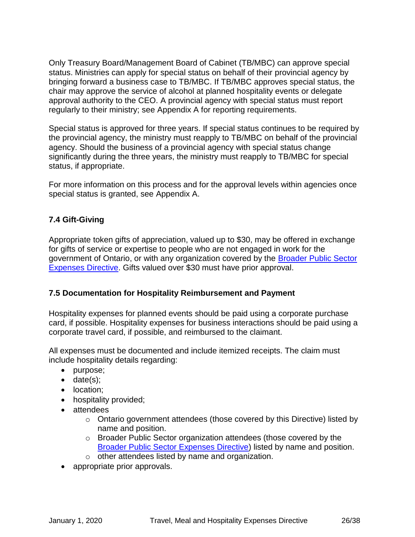Only Treasury Board/Management Board of Cabinet (TB/MBC) can approve special status. Ministries can apply for special status on behalf of their provincial agency by bringing forward a business case to TB/MBC. If TB/MBC approves special status, the chair may approve the service of alcohol at planned hospitality events or delegate approval authority to the CEO. A provincial agency with special status must report regularly to their ministry; see Appendix A for reporting requirements.

Special status is approved for three years. If special status continues to be required by the provincial agency, the ministry must reapply to TB/MBC on behalf of the provincial agency. Should the business of a provincial agency with special status change significantly during the three years, the ministry must reapply to TB/MBC for special status, if appropriate.

For more information on this process and for the approval levels within agencies once special status is granted, see Appendix A.

#### **7.4 Gift-Giving**

Appropriate token gifts of appreciation, valued up to \$30, may be offered in exchange for gifts of service or expertise to people who are not engaged in work for the government of Ontario, or with any organization covered by the [Broader Public Sector](https://ontario.ca/page/broader-public-sector-expenses-directive-2020)  [Expenses Directive.](https://ontario.ca/page/broader-public-sector-expenses-directive-2020) Gifts valued over \$30 must have prior approval.

#### **7.5 Documentation for Hospitality Reimbursement and Payment**

Hospitality expenses for planned events should be paid using a corporate purchase card, if possible. Hospitality expenses for business interactions should be paid using a corporate travel card, if possible, and reimbursed to the claimant.

All expenses must be documented and include itemized receipts. The claim must include hospitality details regarding:

- purpose;
- date(s);
- location:
- hospitality provided;
- attendees
	- $\circ$  Ontario government attendees (those covered by this Directive) listed by name and position.
	- o Broader Public Sector organization attendees (those covered by the [Broader Public Sector Expenses Directive\)](https://ontario.ca/page/broader-public-sector-expenses-directive-2020) listed by name and position.
	- o other attendees listed by name and organization.
- appropriate prior approvals.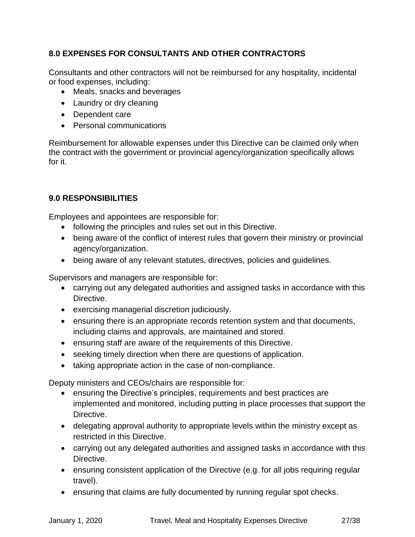## **8.0 EXPENSES FOR CONSULTANTS AND OTHER CONTRACTORS**

Consultants and other contractors will not be reimbursed for any hospitality, incidental or food expenses, including:

- Meals, snacks and beverages
- Laundry or dry cleaning
- Dependent care
- Personal communications

Reimbursement for allowable expenses under this Directive can be claimed only when the contract with the government or provincial agency/organization specifically allows for it.

#### <span id="page-26-0"></span>**9.0 RESPONSIBILITIES**

Employees and appointees are responsible for:

- following the principles and rules set out in this Directive.
- being aware of the conflict of interest rules that govern their ministry or provincial agency/organization.
- being aware of any relevant statutes, directives, policies and guidelines.

Supervisors and managers are responsible for:

- carrying out any delegated authorities and assigned tasks in accordance with this Directive.
- exercising managerial discretion judiciously.
- ensuring there is an appropriate records retention system and that documents, including claims and approvals, are maintained and stored.
- ensuring staff are aware of the requirements of this Directive.
- seeking timely direction when there are questions of application.
- taking appropriate action in the case of non-compliance.

Deputy ministers and CEOs/chairs are responsible for:

- ensuring the Directive's principles, requirements and best practices are implemented and monitored, including putting in place processes that support the Directive.
- delegating approval authority to appropriate levels within the ministry except as restricted in this Directive.
- carrying out any delegated authorities and assigned tasks in accordance with this Directive.
- ensuring consistent application of the Directive (e.g. for all jobs requiring regular travel).
- ensuring that claims are fully documented by running regular spot checks.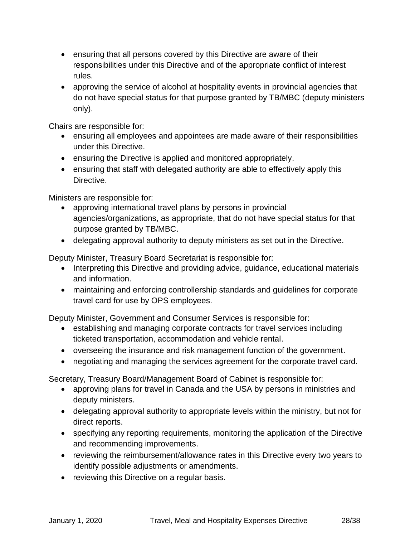- ensuring that all persons covered by this Directive are aware of their responsibilities under this Directive and of the appropriate conflict of interest rules.
- approving the service of alcohol at hospitality events in provincial agencies that do not have special status for that purpose granted by TB/MBC (deputy ministers only).

Chairs are responsible for:

- ensuring all employees and appointees are made aware of their responsibilities under this Directive.
- ensuring the Directive is applied and monitored appropriately.
- ensuring that staff with delegated authority are able to effectively apply this Directive.

Ministers are responsible for:

- approving international travel plans by persons in provincial agencies/organizations, as appropriate, that do not have special status for that purpose granted by TB/MBC.
- delegating approval authority to deputy ministers as set out in the Directive.

Deputy Minister, Treasury Board Secretariat is responsible for:

- Interpreting this Directive and providing advice, guidance, educational materials and information.
- maintaining and enforcing controllership standards and guidelines for corporate travel card for use by OPS employees.

Deputy Minister, Government and Consumer Services is responsible for:

- establishing and managing corporate contracts for travel services including ticketed transportation, accommodation and vehicle rental.
- overseeing the insurance and risk management function of the government.
- negotiating and managing the services agreement for the corporate travel card.

Secretary, Treasury Board/Management Board of Cabinet is responsible for:

- approving plans for travel in Canada and the USA by persons in ministries and deputy ministers.
- delegating approval authority to appropriate levels within the ministry, but not for direct reports.
- specifying any reporting requirements, monitoring the application of the Directive and recommending improvements.
- reviewing the reimbursement/allowance rates in this Directive every two years to identify possible adjustments or amendments.
- reviewing this Directive on a regular basis.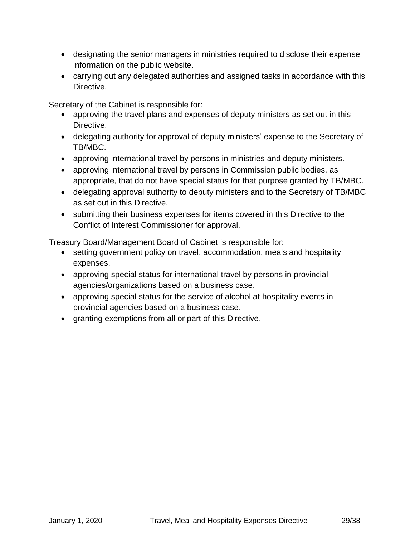- designating the senior managers in ministries required to disclose their expense information on the public website.
- carrying out any delegated authorities and assigned tasks in accordance with this Directive.

Secretary of the Cabinet is responsible for:

- approving the travel plans and expenses of deputy ministers as set out in this Directive.
- delegating authority for approval of deputy ministers' expense to the Secretary of TB/MBC.
- approving international travel by persons in ministries and deputy ministers.
- approving international travel by persons in Commission public bodies, as appropriate, that do not have special status for that purpose granted by TB/MBC.
- delegating approval authority to deputy ministers and to the Secretary of TB/MBC as set out in this Directive.
- submitting their business expenses for items covered in this Directive to the Conflict of Interest Commissioner for approval.

Treasury Board/Management Board of Cabinet is responsible for:

- setting government policy on travel, accommodation, meals and hospitality expenses.
- approving special status for international travel by persons in provincial agencies/organizations based on a business case.
- approving special status for the service of alcohol at hospitality events in provincial agencies based on a business case.
- <span id="page-28-0"></span>• granting exemptions from all or part of this Directive.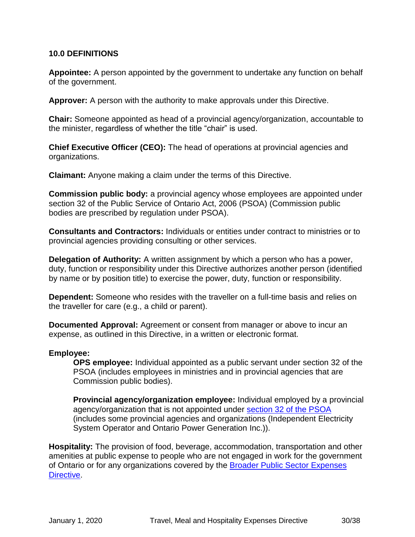#### **10.0 DEFINITIONS**

**Appointee:** A person appointed by the government to undertake any function on behalf of the government.

**Approver:** A person with the authority to make approvals under this Directive.

**Chair:** Someone appointed as head of a provincial agency/organization, accountable to the minister, regardless of whether the title "chair" is used.

**Chief Executive Officer (CEO):** The head of operations at provincial agencies and organizations.

**Claimant:** Anyone making a claim under the terms of this Directive.

**Commission public body:** a provincial agency whose employees are appointed under section 32 of the Public Service of Ontario Act, 2006 (PSOA) (Commission public bodies are prescribed by regulation under PSOA).

**Consultants and Contractors:** Individuals or entities under contract to ministries or to provincial agencies providing consulting or other services.

**Delegation of Authority:** A written assignment by which a person who has a power, duty, function or responsibility under this Directive authorizes another person (identified by name or by position title) to exercise the power, duty, function or responsibility.

**Dependent:** Someone who resides with the traveller on a full-time basis and relies on the traveller for care (e.g., a child or parent).

**Documented Approval:** Agreement or consent from manager or above to incur an expense, as outlined in this Directive, in a written or electronic format.

#### **Employee:**

**OPS employee:** Individual appointed as a public servant under section 32 of the PSOA (includes employees in ministries and in provincial agencies that are Commission public bodies).

**Provincial agency/organization employee:** Individual employed by a provincial agency/organization that is not appointed under section 32 [of the PSOA](https://www.ontario.ca/laws/statute/06p35) (includes some provincial agencies and organizations (Independent Electricity System Operator and Ontario Power Generation Inc.)).

**Hospitality:** The provision of food, beverage, accommodation, transportation and other amenities at public expense to people who are not engaged in work for the government of Ontario or for any organizations covered by the Broader Public Sector Expenses [Directive.](https://ontario.ca/page/broader-public-sector-expenses-directive-2020)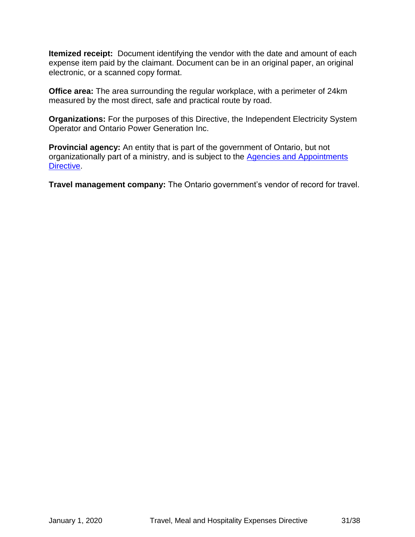**Itemized receipt:** Document identifying the vendor with the date and amount of each expense item paid by the claimant. Document can be in an original paper, an original electronic, or a scanned copy format.

**Office area:** The area surrounding the regular workplace, with a perimeter of 24km measured by the most direct, safe and practical route by road.

**Organizations:** For the purposes of this Directive, the Independent Electricity System Operator and Ontario Power Generation Inc.

**Provincial agency:** An entity that is part of the government of Ontario, but not organizationally part of a ministry, and is subject to the [Agencies and Appointments](https://www.ontario.ca/page/agencies-and-appointments-directive)  [Directive.](https://www.ontario.ca/page/agencies-and-appointments-directive)

**Travel management company:** The Ontario government's vendor of record for travel.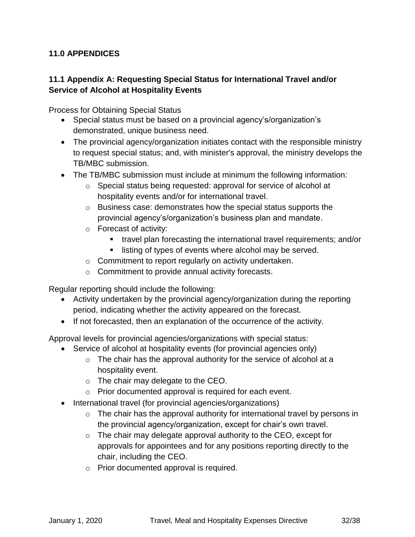#### <span id="page-31-0"></span>**11.0 APPENDICES**

#### <span id="page-31-1"></span>**11.1 Appendix A: Requesting Special Status for International Travel and/or Service of Alcohol at Hospitality Events**

Process for Obtaining Special Status

- Special status must be based on a provincial agency's/organization's demonstrated, unique business need.
- The provincial agency/organization initiates contact with the responsible ministry to request special status; and, with minister's approval, the ministry develops the TB/MBC submission.
- The TB/MBC submission must include at minimum the following information:
	- o Special status being requested: approval for service of alcohol at hospitality events and/or for international travel.
	- o Business case: demonstrates how the special status supports the provincial agency's/organization's business plan and mandate.
	- o Forecast of activity:
		- travel plan forecasting the international travel requirements; and/or
		- listing of types of events where alcohol may be served.
	- o Commitment to report regularly on activity undertaken.
	- o Commitment to provide annual activity forecasts.

Regular reporting should include the following:

- Activity undertaken by the provincial agency/organization during the reporting period, indicating whether the activity appeared on the forecast.
- If not forecasted, then an explanation of the occurrence of the activity.

Approval levels for provincial agencies/organizations with special status:

- Service of alcohol at hospitality events (for provincial agencies only)
	- o The chair has the approval authority for the service of alcohol at a hospitality event.
	- o The chair may delegate to the CEO.
	- o Prior documented approval is required for each event.
- International travel (for provincial agencies/organizations)
	- $\circ$  The chair has the approval authority for international travel by persons in the provincial agency/organization, except for chair's own travel.
	- $\circ$  The chair may delegate approval authority to the CEO, except for approvals for appointees and for any positions reporting directly to the chair, including the CEO.
	- o Prior documented approval is required.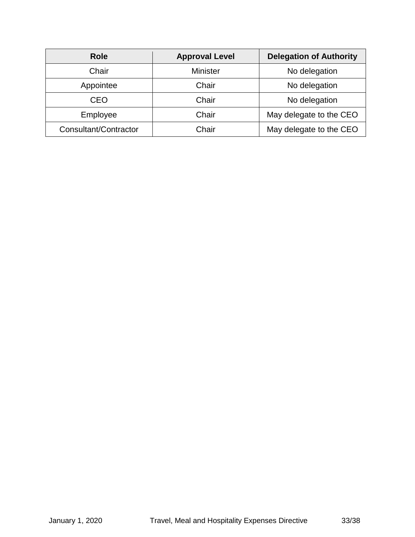| <b>Role</b>           | <b>Approval Level</b> | <b>Delegation of Authority</b> |  |
|-----------------------|-----------------------|--------------------------------|--|
| Chair                 | <b>Minister</b>       | No delegation                  |  |
| Appointee             | Chair                 | No delegation                  |  |
| CEO                   | Chair                 | No delegation                  |  |
| Employee              | Chair                 | May delegate to the CEO        |  |
| Consultant/Contractor | Chair                 | May delegate to the CEO        |  |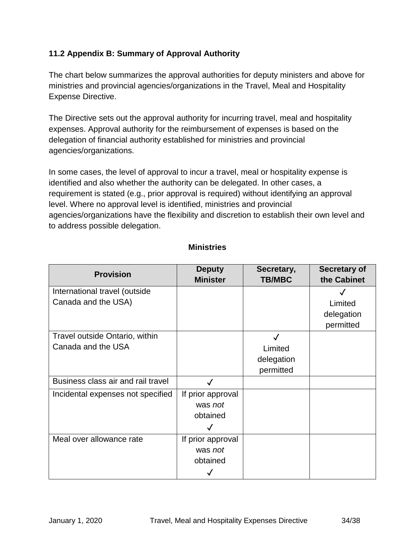#### <span id="page-33-0"></span>**11.2 Appendix B: Summary of Approval Authority**

The chart below summarizes the approval authorities for deputy ministers and above for ministries and provincial agencies/organizations in the Travel, Meal and Hospitality Expense Directive.

The Directive sets out the approval authority for incurring travel, meal and hospitality expenses. Approval authority for the reimbursement of expenses is based on the delegation of financial authority established for ministries and provincial agencies/organizations.

In some cases, the level of approval to incur a travel, meal or hospitality expense is identified and also whether the authority can be delegated. In other cases, a requirement is stated (e.g., prior approval is required) without identifying an approval level. Where no approval level is identified, ministries and provincial agencies/organizations have the flexibility and discretion to establish their own level and to address possible delegation.

| <b>Provision</b>                   | <b>Deputy</b>     | Secretary,    | <b>Secretary of</b> |
|------------------------------------|-------------------|---------------|---------------------|
|                                    | <b>Minister</b>   | <b>TB/MBC</b> | the Cabinet         |
| International travel (outside      |                   |               |                     |
| Canada and the USA)                |                   |               | Limited             |
|                                    |                   |               | delegation          |
|                                    |                   |               | permitted           |
| Travel outside Ontario, within     |                   |               |                     |
| Canada and the USA                 |                   | Limited       |                     |
|                                    |                   | delegation    |                     |
|                                    |                   | permitted     |                     |
| Business class air and rail travel |                   |               |                     |
| Incidental expenses not specified  | If prior approval |               |                     |
|                                    | was not           |               |                     |
|                                    | obtained          |               |                     |
|                                    | $\checkmark$      |               |                     |
| Meal over allowance rate           | If prior approval |               |                     |
|                                    | was not           |               |                     |
|                                    | obtained          |               |                     |
|                                    |                   |               |                     |

#### **Ministries**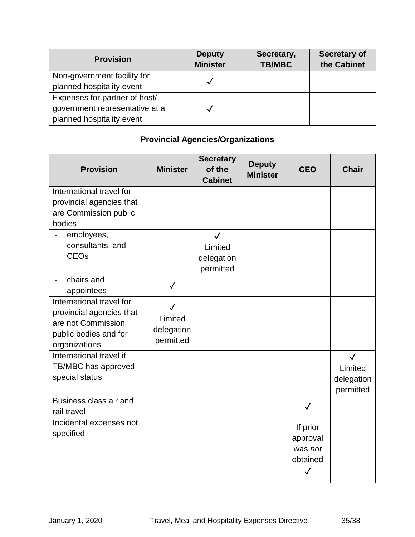| <b>Provision</b>               | <b>Deputy</b><br><b>Minister</b> | Secretary,<br><b>TB/MBC</b> | Secretary of<br>the Cabinet |
|--------------------------------|----------------------------------|-----------------------------|-----------------------------|
| Non-government facility for    |                                  |                             |                             |
| planned hospitality event      |                                  |                             |                             |
| Expenses for partner of host/  |                                  |                             |                             |
| government representative at a |                                  |                             |                             |
| planned hospitality event      |                                  |                             |                             |

# **Provincial Agencies/Organizations**

| <b>Provision</b>                                                                                                     | <b>Minister</b>                                    | <b>Secretary</b><br>of the<br><b>Cabinet</b>       | <b>Deputy</b><br><b>Minister</b> | <b>CEO</b>                                                  | <b>Chair</b>                                       |
|----------------------------------------------------------------------------------------------------------------------|----------------------------------------------------|----------------------------------------------------|----------------------------------|-------------------------------------------------------------|----------------------------------------------------|
| International travel for<br>provincial agencies that<br>are Commission public<br>bodies                              |                                                    |                                                    |                                  |                                                             |                                                    |
| employees,<br>consultants, and<br><b>CEO<sub>s</sub></b>                                                             |                                                    | $\checkmark$<br>Limited<br>delegation<br>permitted |                                  |                                                             |                                                    |
| chairs and<br>appointees                                                                                             | $\checkmark$                                       |                                                    |                                  |                                                             |                                                    |
| International travel for<br>provincial agencies that<br>are not Commission<br>public bodies and for<br>organizations | $\checkmark$<br>Limited<br>delegation<br>permitted |                                                    |                                  |                                                             |                                                    |
| International travel if<br>TB/MBC has approved<br>special status                                                     |                                                    |                                                    |                                  |                                                             | $\checkmark$<br>Limited<br>delegation<br>permitted |
| Business class air and<br>rail travel                                                                                |                                                    |                                                    |                                  | $\checkmark$                                                |                                                    |
| Incidental expenses not<br>specified                                                                                 |                                                    |                                                    |                                  | If prior<br>approval<br>was not<br>obtained<br>$\checkmark$ |                                                    |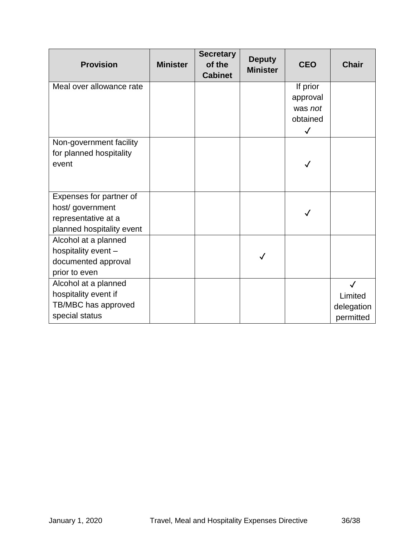| <b>Provision</b>          | <b>Minister</b> | <b>Secretary</b><br>of the<br><b>Cabinet</b> | <b>Deputy</b><br><b>Minister</b> | <b>CEO</b>   | <b>Chair</b> |
|---------------------------|-----------------|----------------------------------------------|----------------------------------|--------------|--------------|
| Meal over allowance rate  |                 |                                              |                                  | If prior     |              |
|                           |                 |                                              |                                  | approval     |              |
|                           |                 |                                              |                                  | was not      |              |
|                           |                 |                                              |                                  | obtained     |              |
|                           |                 |                                              |                                  | $\checkmark$ |              |
| Non-government facility   |                 |                                              |                                  |              |              |
| for planned hospitality   |                 |                                              |                                  |              |              |
| event                     |                 |                                              |                                  |              |              |
|                           |                 |                                              |                                  |              |              |
| Expenses for partner of   |                 |                                              |                                  |              |              |
| host/ government          |                 |                                              |                                  |              |              |
| representative at a       |                 |                                              |                                  |              |              |
| planned hospitality event |                 |                                              |                                  |              |              |
| Alcohol at a planned      |                 |                                              |                                  |              |              |
| hospitality event -       |                 |                                              |                                  |              |              |
| documented approval       |                 |                                              |                                  |              |              |
| prior to even             |                 |                                              |                                  |              |              |
| Alcohol at a planned      |                 |                                              |                                  |              | $\checkmark$ |
| hospitality event if      |                 |                                              |                                  |              | Limited      |
| TB/MBC has approved       |                 |                                              |                                  |              | delegation   |
| special status            |                 |                                              |                                  |              | permitted    |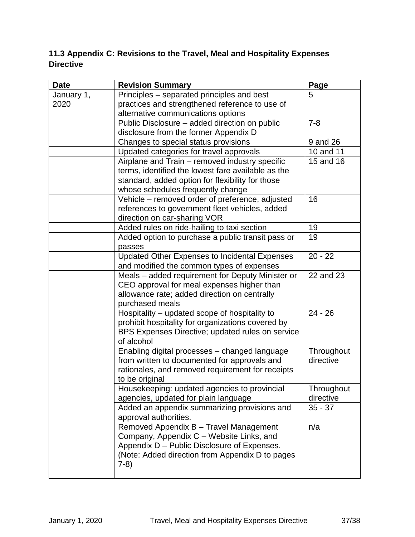# <span id="page-36-0"></span>**11.3 Appendix C: Revisions to the Travel, Meal and Hospitality Expenses Directive**

| <b>Date</b> | <b>Revision Summary</b>                                                                         | Page       |
|-------------|-------------------------------------------------------------------------------------------------|------------|
| January 1,  | Principles – separated principles and best                                                      | 5          |
| 2020        | practices and strengthened reference to use of                                                  |            |
|             | alternative communications options                                                              |            |
|             | Public Disclosure – added direction on public                                                   | $7 - 8$    |
|             | disclosure from the former Appendix D                                                           |            |
|             | Changes to special status provisions                                                            | 9 and 26   |
|             | Updated categories for travel approvals                                                         | 10 and 11  |
|             | Airplane and Train - removed industry specific                                                  | 15 and 16  |
|             | terms, identified the lowest fare available as the                                              |            |
|             | standard, added option for flexibility for those                                                |            |
|             | whose schedules frequently change                                                               |            |
|             | Vehicle - removed order of preference, adjusted                                                 | 16         |
|             | references to government fleet vehicles, added                                                  |            |
|             | direction on car-sharing VOR                                                                    |            |
|             | Added rules on ride-hailing to taxi section                                                     | 19         |
|             | Added option to purchase a public transit pass or                                               | 19         |
|             | passes                                                                                          |            |
|             | <b>Updated Other Expenses to Incidental Expenses</b>                                            | $20 - 22$  |
|             | and modified the common types of expenses                                                       |            |
|             | Meals - added requirement for Deputy Minister or                                                | 22 and 23  |
|             | CEO approval for meal expenses higher than                                                      |            |
|             | allowance rate; added direction on centrally                                                    |            |
|             | purchased meals                                                                                 |            |
|             | Hospitality – updated scope of hospitality to                                                   | $24 - 26$  |
|             | prohibit hospitality for organizations covered by                                               |            |
|             | BPS Expenses Directive; updated rules on service                                                |            |
|             | of alcohol                                                                                      |            |
|             | Enabling digital processes - changed language                                                   | Throughout |
|             | from written to documented for approvals and                                                    | directive  |
|             | rationales, and removed requirement for receipts                                                |            |
|             | to be original                                                                                  |            |
|             | Housekeeping: updated agencies to provincial                                                    | Throughout |
|             | agencies, updated for plain language                                                            | directive  |
|             | Added an appendix summarizing provisions and                                                    | $35 - 37$  |
|             | approval authorities.                                                                           |            |
|             | Removed Appendix B - Travel Management                                                          | n/a        |
|             | Company, Appendix C - Website Links, and                                                        |            |
|             | Appendix D - Public Disclosure of Expenses.<br>(Note: Added direction from Appendix D to pages) |            |
|             | $7-8)$                                                                                          |            |
|             |                                                                                                 |            |
|             |                                                                                                 |            |